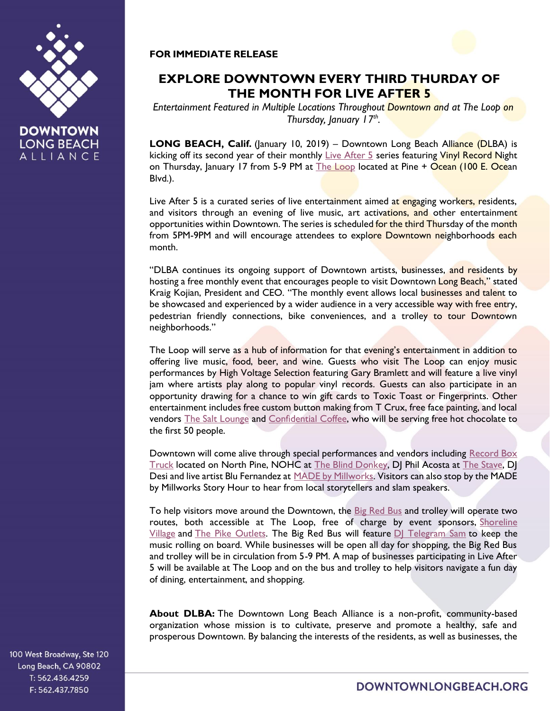

**DOWNTOWN LONG BEACH** ALLIANCE

## **FOR IMMEDIATE RELEASE**



*Entertainment Featured in Multiple Locations Throughout Downtown and at The Loop on Thursday, January 17th .*

LONG BEACH, Calif. (January 10, 2019) - Downtown Long Beach Alliance (DLBA) is kicking off its second year of their monthly [Live After 5](http://www.liveafterfive.org/) series featuring Vinyl Record Night on Thursday, January 17 from 5-9 PM at [The Loop](https://theloopdtlb.com/) located at Pine + Ocean (100 E. Ocean Blvd.).

Live After 5 is a curated series of live entertainment aimed at engaging workers, residents, and visitors through an evening of live music, art activations, and other entertainment opportunities within Downtown. The series is scheduled for the third Thursday of the month from 5PM-9PM and will encourage attendees to explore Downtown neighborhoods each month.

"DLBA continues its ongoing support of Downtown artists, businesses, and residents by hosting a free monthly event that encourages people to visit Downtown Long Beach," stated Kraig Kojian, President and CEO. "The monthly event allows local businesses and talent to be showcased and experienced by a wider audience in a very accessible way with free entry, pedestrian friendly connections, bike conveniences, and a trolley to tour Downtown neighborhoods."

The Loop will serve as a hub of information for that evening's entertainment in addition to offering live music, food, beer, and wine. Guests who visit The Loop can enjoy music performances by High Voltage Selection featuring Gary Bramlett and will feature a live vinyl jam where artists play along to popular vinyl records. Guests can also participate in an opportunity drawing for a chance to win gift cards to Toxic Toast or Fingerprints. Other entertainment includes free custom button making from T Crux, free face painting, and local vendors [The Salt Lounge](https://www.thesaltloungelb.com/) and [Confidential Coffee,](https://www.confidentialcoffee.com/) who will be serving free hot chocolate to the first 50 people.

Downtown will come alive through special performances and vendors including Record Box [Truck](https://www.instagram.com/recordboxtruck/) located on North Pine, NOHC at [The Blind Donkey,](http://www.theblinddonkey.com/long-beach) DJ Phil Acosta at [The Stave,](http://www.thestavebar.com/) DJ Desi and live artist Blu Fernandez at [MADE by Millworks.](https://madebymillworks.com/) Visitors can also stop by the MADE by Millworks Story Hour to hear from local storytellers and slam speakers.

To help visitors move around the Downtown, the [Big Red Bus](https://www.bigredbus.com/) and trolley will operate two routes, both accessible at The Loop, free of charge by event sponsors, [Shoreline](https://shorelinevillage.com/)  [Village](https://shorelinevillage.com/) and [The Pike Outlets.](https://www.facebook.com/ThePikeOutlets) The Big Red Bus will feature [DJ Telegram Sam](https://www.instagram.com/telegramsam_/) to keep the music rolling on board. While businesses will be open all day for shopping, the Big Red Bus and trolley will be in circulation from 5-9 PM. A map of businesses participating in Live After 5 will be available at The Loop and on the bus and trolley to help visitors navigate a fun day of dining, entertainment, and shopping.

**About DLBA:** The Downtown Long Beach Alliance is a non-profit, community-based organization whose mission is to cultivate, preserve and promote a healthy, safe and prosperous Downtown. By balancing the interests of the residents, as well as businesses, the

100 West Broadway, Ste 120 Long Beach, CA 90802 T: 562.436.4259 F: 562.437.7850

DOWNTOWNLONGBEACH.ORG